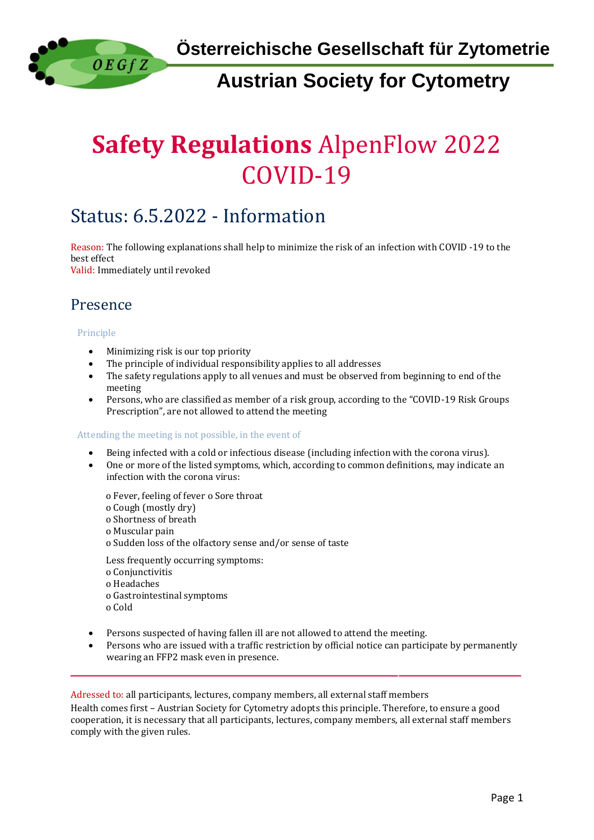**Österreichische Gesellschaft für Zytometrie**

# **Austrian Society for Cytometry**

# **Safety Regulations** AlpenFlow 2022 COVID-19

# Status: 6.5.2022 - Information

Reason: The following explanations shall help to minimize the risk of an infection with COVID -19 to the best effect Valid: Immediately until revoked

Presence

 $0 E Gf Z$ 

#### Principle

- Minimizing risk is our top priority
- The principle of individual responsibility applies to all addresses
- The safety regulations apply to all venues and must be observed from beginning to end of the meeting
- Persons, who are classified as member of a risk group, according to the "COVID-19 Risk Groups Prescription", are not allowed to attend the meeting

#### Attending the meeting is not possible, in the event of

- Being infected with a cold or infectious disease (including infection with the corona virus).
- One or more of the listed symptoms, which, according to common definitions, may indicate an infection with the corona virus:

o Fever, feeling of fever o Sore throat o Cough (mostly dry) o Shortness of breath o Muscular pain o Sudden loss of the olfactory sense and/or sense of taste

Less frequently occurring symptoms: o Conjunctivitis o Headaches o Gastrointestinal symptoms o Cold

- Persons suspected of having fallen ill are not allowed to attend the meeting.
- Persons who are issued with a traffic restriction by official notice can participate by permanently wearing an FFP2 mask even in presence.

Adressed to: all participants, lectures, company members, all external staff members

Health comes first – Austrian Society for Cytometry adopts this principle. Therefore, to ensure a good cooperation, it is necessary that all participants, lectures, company members, all external staff members comply with the given rules.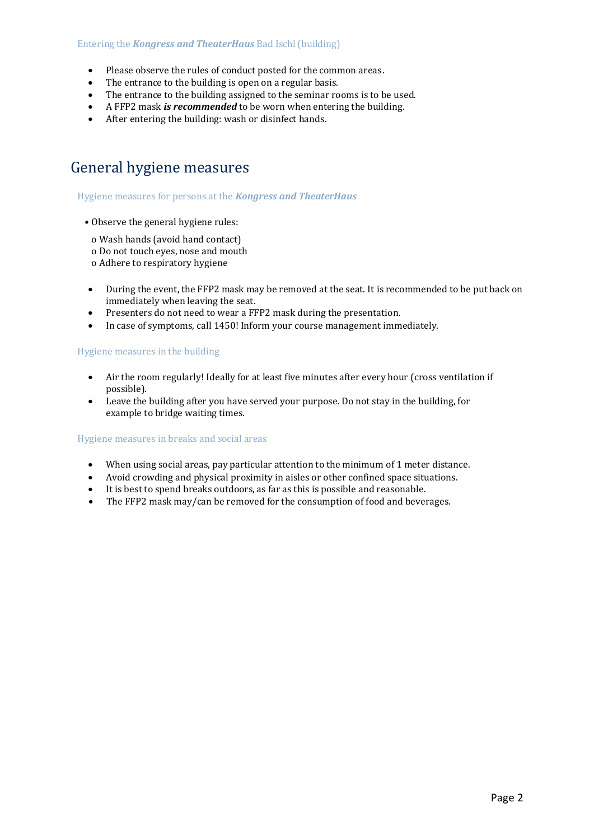#### Entering the *Kongress and TheaterHaus* Bad Ischl (building)

- Please observe the rules of conduct posted for the common areas.
- The entrance to the building is open on a regular basis.
- The entrance to the building assigned to the seminar rooms is to be used.
- A FFP2 mask *is recommended* to be worn when entering the building.
- After entering the building: wash or disinfect hands.

### General hygiene measures

Hygiene measures for persons at the *Kongress and TheaterHaus*

- Observe the general hygiene rules:
- o Wash hands (avoid hand contact)
- o Do not touch eyes, nose and mouth
- o Adhere to respiratory hygiene
- During the event, the FFP2 mask may be removed at the seat. It is recommended to be put back on immediately when leaving the seat.
- Presenters do not need to wear a FFP2 mask during the presentation.
- In case of symptoms, call 1450! Inform your course management immediately.

#### Hygiene measures in the building

- Air the room regularly! Ideally for at least five minutes after every hour (cross ventilation if possible).
- Leave the building after you have served your purpose. Do not stay in the building, for example to bridge waiting times.

#### Hygiene measures in breaks and social areas

- When using social areas, pay particular attention to the minimum of 1 meter distance.
- Avoid crowding and physical proximity in aisles or other confined space situations.
- It is best to spend breaks outdoors, as far as this is possible and reasonable.
- The FFP2 mask may/can be removed for the consumption of food and beverages.